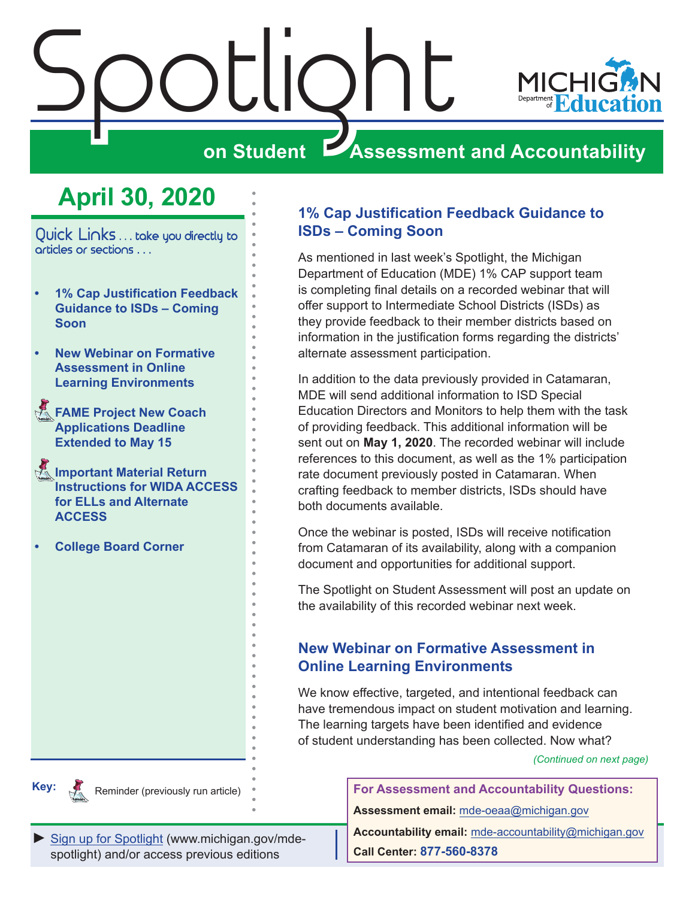<span id="page-0-0"></span>

## **April 30, 2020**

Quick Links ... take you directly to articles or sections . . .

- **• 1% Cap Justification Feedback Guidance to ISDs – Coming Soon**
- **• New Webinar on Formative Assessment in Online Learning Environments**
- **FAME Project New Coach [Applications Deadline](#page-1-0)  [Extended to May 15](#page-1-0)**
- **Reminders Important Material Return [Instructions for WIDA ACCESS](#page-1-0)  [for ELLs and Alternate](#page-1-0)  [ACCESS](#page-1-0)**
- **• [College Board Corner](#page-4-0)**

#### **1% Cap Justification Feedback Guidance to ISDs – Coming Soon**

As mentioned in last week's Spotlight, the Michigan Department of Education (MDE) 1% CAP support team is completing final details on a recorded webinar that will offer support to Intermediate School Districts (ISDs) as they provide feedback to their member districts based on information in the justification forms regarding the districts' alternate assessment participation.

In addition to the data previously provided in Catamaran, MDE will send additional information to ISD Special Education Directors and Monitors to help them with the task of providing feedback. This additional information will be sent out on **May 1, 2020**. The recorded webinar will include references to this document, as well as the 1% participation rate document previously posted in Catamaran. When crafting feedback to member districts, ISDs should have both documents available.

Once the webinar is posted, ISDs will receive notification from Catamaran of its availability, along with a companion document and opportunities for additional support.

The Spotlight on Student Assessment will post an update on the availability of this recorded webinar next week.

#### **New Webinar on Formative Assessment in Online Learning Environments**

We know effective, targeted, and intentional feedback can have tremendous impact on student motivation and learning. The learning targets have been identified and evidence of student understanding has been collected. Now what?

*(Continued on next page)*



Reminder (previously run article)

[Sign up for Spotlight](https://public.govdelivery.com/accounts/MIMDE/subscriber/new) [\(www.michigan.gov/mde](www.michigan.gov/mde-spotlight)spotlight) and/or access previous editions

**For Assessment and Accountability Questions: Assessment email:** mde-oeaa[@michigan.gov](mailto:mde-oeaa%40michigan.gov?subject=assessment%20question)

**Accountability email:** mde[-accountability@michigan.gov](mailto:MDE-Accountability%40michigan.gov?subject=Accountability%20question) **Call Center: 877-560-8378**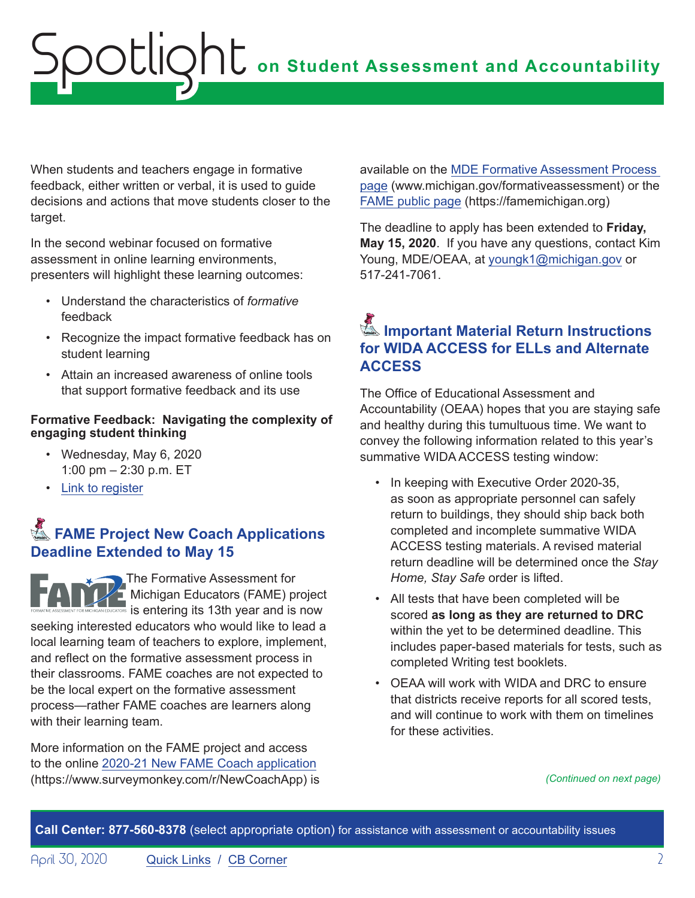<span id="page-1-0"></span>When students and teachers engage in formative feedback, either written or verbal, it is used to guide decisions and actions that move students closer to the target.

In the second webinar focused on formative assessment in online learning environments, presenters will highlight these learning outcomes:

- Understand the characteristics of *formative* feedback
- Recognize the impact formative feedback has on student learning
- Attain an increased awareness of online tools that support formative feedback and its use

#### **Formative Feedback: Navigating the complexity of engaging student thinking**

- Wednesday, May 6, 2020 1:00 pm – 2:30 p.m. ET
- [Link to register](https://www.michiganassessmentconsortium.org/event/navigating-the-complexity-of-engaging-student-thinking-using-the-formative-assessment-process-to-enhance-student-learning-in-an-online-environment/)

### **External FAME Project New Coach Applications Deadline Extended to May 15**

The Formative Assessment for Michigan Educators (FAME) project is entering its 13th year and is now seeking interested educators who would like to lead a local learning team of teachers to explore, implement, and reflect on the formative assessment process in their classrooms. FAME coaches are not expected to be the local expert on the formative assessment process—rather FAME coaches are learners along with their learning team.

More information on the FAME project and access to the online [2020-21 New FAME Coach application](https://www.surveymonkey.com/r/NewCoachApp) (https://www.surveymonkey.com/r/NewCoachApp) is available on the [MDE Formative Assessment Process](http://www.michigan.gov/formativeassessment)  [page](http://www.michigan.gov/formativeassessment) (www.michigan.gov/formativeassessment) or the [FAME public page](https://famemichigan.org) (https://famemichigan.org)

The deadline to apply has been extended to **Friday, May 15, 2020**. If you have any questions, contact Kim Young, MDE/OEAA, at [youngk1@michigan.gov](mailto:youngk1%40michigan.gov?subject=) or 517-241-7061.

### Reminders **Important Material Return Instructions for WIDA ACCESS for ELLs and Alternate ACCESS**

The Office of Educational Assessment and Accountability (OEAA) hopes that you are staying safe and healthy during this tumultuous time. We want to convey the following information related to this year's summative WIDA ACCESS testing window:

- In keeping with Executive Order 2020-35, as soon as appropriate personnel can safely return to buildings, they should ship back both completed and incomplete summative WIDA ACCESS testing materials. A revised material return deadline will be determined once the *Stay Home, Stay Safe* order is lifted.
- All tests that have been completed will be scored **as long as they are returned to DRC**  within the yet to be determined deadline. This includes paper-based materials for tests, such as completed Writing test booklets.
- OEAA will work with WIDA and DRC to ensure that districts receive reports for all scored tests, and will continue to work with them on timelines for these activities.

*(Continued on next page)*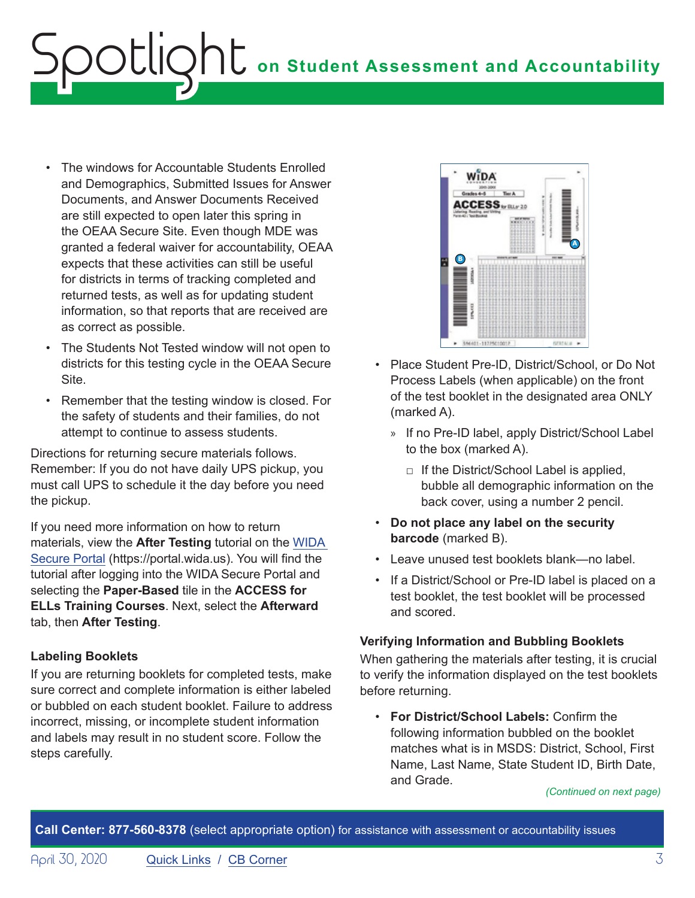## **on Student Assessment and Accountability** ootlic

- The windows for Accountable Students Enrolled and Demographics, Submitted Issues for Answer Documents, and Answer Documents Received are still expected to open later this spring in the OEAA Secure Site. Even though MDE was granted a federal waiver for accountability, OEAA expects that these activities can still be useful for districts in terms of tracking completed and returned tests, as well as for updating student information, so that reports that are received are as correct as possible.
- The Students Not Tested window will not open to districts for this testing cycle in the OEAA Secure Site.
- Remember that the testing window is closed. For the safety of students and their families, do not attempt to continue to assess students.

Directions for returning secure materials follows. Remember: If you do not have daily UPS pickup, you must call UPS to schedule it the day before you need the pickup.

If you need more information on how to return materials, view the **After Testing** tutorial on the [WIDA](https://gcc01.safelinks.protection.outlook.com/?url=https%3A%2F%2Furldefense.proofpoint.com%2Fv2%2Furl%3Fu%3Dhttp-3A__s2720.t.en25.com_e_er-3Futm-5Fcampaign-3DMI09-26utm-5Fmedium-3Demail-26utm-5Fsource-3DEloqua-26s-3D2720-26lid-3D1445-26elqTrackId-3D1633C6280A3A8E348112D0BD1D0D7F67-26elq-3D6b36735f344f421a9a1bb48cae58a419-26elqaid-3D6405-26elqat-3D1%26d%3DDwMCaQ%26c%3D8zrWcxohc8EScTghaWfhULjPi_iW3pFnOBrhZAw_16M%26r%3DCMUvUOkR5Mt-691GvZKrhlhKVvOmCMJvIOm4ZoheWRIY9DlWCbCvAhxkRlNk7Kmx%26m%3DLK59sq64fRrYmnw67QzESya61xBETXtW8Qr3A67iTj8%26s%3DiY4l7TlMXKNZz9Zf8C7kMTO9M_pOWnuhobAPZCUDV2I%26e%3D&data=02%7C01%7Cpaulj%40michigan.gov%7C61a63dffa56a46df448e08d7beed86b4%7Cd5fb7087377742ad966a892ef47225d1%7C0%7C0%7C637187799691750942&sdata=eoYj7oj68pAlw63Cmoy87QHhNSJGac8sHmTiMk3BlD0%3D&reserved=0)  [Secure Portal](https://gcc01.safelinks.protection.outlook.com/?url=https%3A%2F%2Furldefense.proofpoint.com%2Fv2%2Furl%3Fu%3Dhttp-3A__s2720.t.en25.com_e_er-3Futm-5Fcampaign-3DMI09-26utm-5Fmedium-3Demail-26utm-5Fsource-3DEloqua-26s-3D2720-26lid-3D1445-26elqTrackId-3D1633C6280A3A8E348112D0BD1D0D7F67-26elq-3D6b36735f344f421a9a1bb48cae58a419-26elqaid-3D6405-26elqat-3D1%26d%3DDwMCaQ%26c%3D8zrWcxohc8EScTghaWfhULjPi_iW3pFnOBrhZAw_16M%26r%3DCMUvUOkR5Mt-691GvZKrhlhKVvOmCMJvIOm4ZoheWRIY9DlWCbCvAhxkRlNk7Kmx%26m%3DLK59sq64fRrYmnw67QzESya61xBETXtW8Qr3A67iTj8%26s%3DiY4l7TlMXKNZz9Zf8C7kMTO9M_pOWnuhobAPZCUDV2I%26e%3D&data=02%7C01%7Cpaulj%40michigan.gov%7C61a63dffa56a46df448e08d7beed86b4%7Cd5fb7087377742ad966a892ef47225d1%7C0%7C0%7C637187799691750942&sdata=eoYj7oj68pAlw63Cmoy87QHhNSJGac8sHmTiMk3BlD0%3D&reserved=0) (https://portal.wida.us). You will find the tutorial after logging into the WIDA Secure Portal and selecting the **Paper-Based** tile in the **ACCESS for ELLs Training Courses**. Next, select the **Afterward** tab, then **After Testing**.

#### **Labeling Booklets**

If you are returning booklets for completed tests, make sure correct and complete information is either labeled or bubbled on each student booklet. Failure to address incorrect, missing, or incomplete student information and labels may result in no student score. Follow the steps carefully.



- Place Student Pre-ID, District/School, or Do Not Process Labels (when applicable) on the front of the test booklet in the designated area ONLY (marked A).
	- » If no Pre-ID label, apply District/School Label to the box (marked A).
		- $\Box$  If the District/School Label is applied, bubble all demographic information on the back cover, using a number 2 pencil.
- **Do not place any label on the security barcode** (marked B).
- Leave unused test booklets blank—no label.
- If a District/School or Pre-ID label is placed on a test booklet, the test booklet will be processed and scored.

#### **Verifying Information and Bubbling Booklets**

When gathering the materials after testing, it is crucial to verify the information displayed on the test booklets before returning.

• **For District/School Labels:** Confirm the following information bubbled on the booklet matches what is in MSDS: District, School, First Name, Last Name, State Student ID, Birth Date, and Grade.

*(Continued on next page)*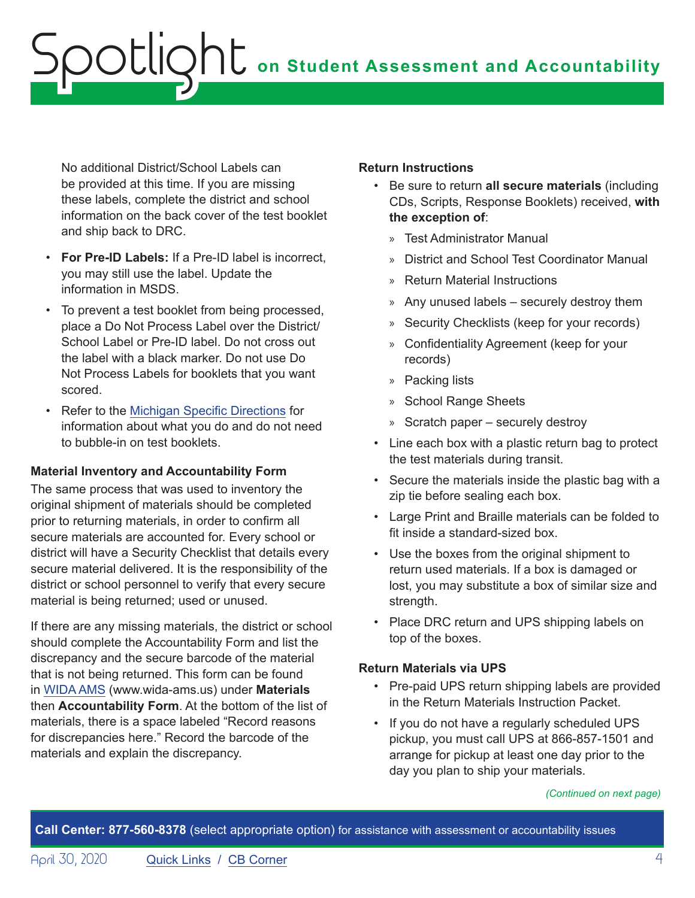No additional District/School Labels can be provided at this time. If you are missing these labels, complete the district and school information on the back cover of the test booklet and ship back to DRC.

- **For Pre-ID Labels:** If a Pre-ID label is incorrect, you may still use the label. Update the information in MSDS.
- To prevent a test booklet from being processed, place a Do Not Process Label over the District/ School Label or Pre-ID label. Do not cross out the label with a black marker. Do not use Do Not Process Labels for booklets that you want scored.
- Refer to the [Michigan Specific Directions](https://wida.wisc.edu/sites/default/files/state-specific-directions/MI-State-Specific-Directions.pdf) for information about what you do and do not need to bubble-in on test booklets.

#### **Material Inventory and Accountability Form**

The same process that was used to inventory the original shipment of materials should be completed prior to returning materials, in order to confirm all secure materials are accounted for. Every school or district will have a Security Checklist that details every secure material delivered. It is the responsibility of the district or school personnel to verify that every secure material is being returned; used or unused.

If there are any missing materials, the district or school should complete the Accountability Form and list the discrepancy and the secure barcode of the material that is not being returned. This form can be found in [WIDA AMS](https://www.wida-ams.us/) (www.wida-ams.us) under **Materials** then **Accountability Form**. At the bottom of the list of materials, there is a space labeled "Record reasons for discrepancies here." Record the barcode of the materials and explain the discrepancy.

#### **Return Instructions**

- Be sure to return **all secure materials** (including CDs, Scripts, Response Booklets) received, **with the exception of**:
	- » Test Administrator Manual
	- » District and School Test Coordinator Manual
	- » Return Material Instructions
	- » Any unused labels securely destroy them
	- » Security Checklists (keep for your records)
	- » Confidentiality Agreement (keep for your records)
	- » Packing lists
	- » School Range Sheets
	- » Scratch paper securely destroy
- Line each box with a plastic return bag to protect the test materials during transit.
- Secure the materials inside the plastic bag with a zip tie before sealing each box.
- Large Print and Braille materials can be folded to fit inside a standard-sized box.
- Use the boxes from the original shipment to return used materials. If a box is damaged or lost, you may substitute a box of similar size and strength.
- Place DRC return and UPS shipping labels on top of the boxes.

#### **Return Materials via UPS**

- Pre-paid UPS return shipping labels are provided in the Return Materials Instruction Packet.
- If you do not have a regularly scheduled UPS pickup, you must call UPS at 866-857-1501 and arrange for pickup at least one day prior to the day you plan to ship your materials.

*(Continued on next page)*